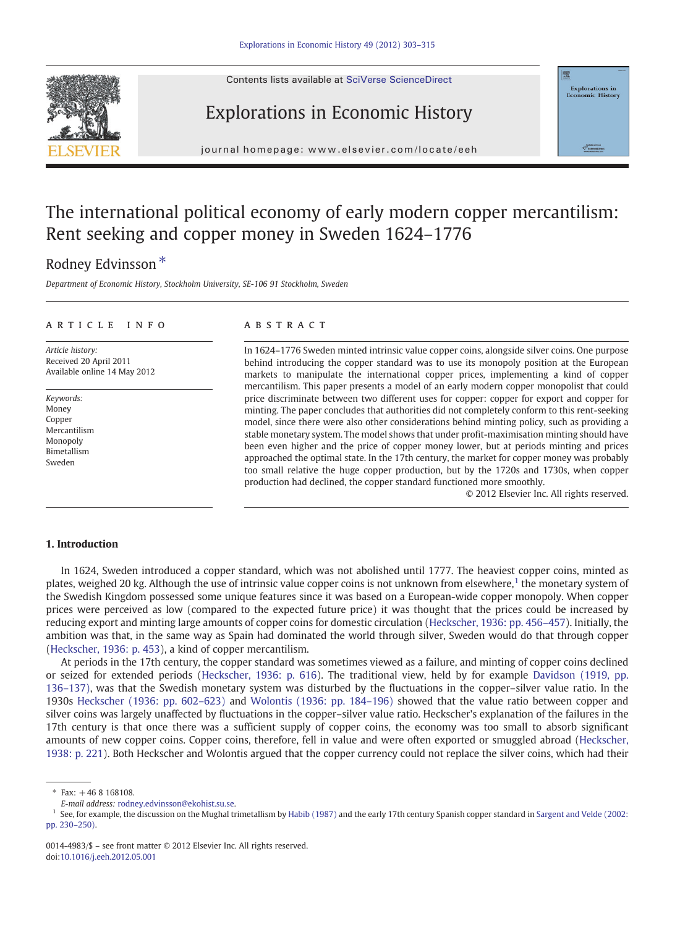Contents lists available at SciVerse ScienceDirect

# Explorations in Economic History

journal homepage: www.elsevier.com/locate/eeh journal homepage: www.elsevier.com/locate/eeh/locate/eeh/locate/eeh/locate/eeh/locate/eeh/locate/eeh/locate/eeh/locate/eeh/locate/eeh/locate/eeh/locate/eeh/locate/eeh/locate/eeh/locate/eeh/locate/eeh/locate/eeh/locate/eeh

# The international political economy of early modern copper mercantilism: Rent seeking and copper money in Sweden 1624–1776

## Rodney Edvinsson<sup>\*</sup>

Department of Economic History, Stockholm University, SE-106 91 Stockholm, Sweden

### article info abstract

Article history: Received 20 April 2011 Available online 14 May 2012

Keywords: Money Copper Mercantilism Monopoly Bimetallism Sweden

In 1624–1776 Sweden minted intrinsic value copper coins, alongside silver coins. One purpose behind introducing the copper standard was to use its monopoly position at the European markets to manipulate the international copper prices, implementing a kind of copper mercantilism. This paper presents a model of an early modern copper monopolist that could price discriminate between two different uses for copper: copper for export and copper for minting. The paper concludes that authorities did not completely conform to this rent-seeking model, since there were also other considerations behind minting policy, such as providing a stable monetary system. The model shows that under profit-maximisation minting should have been even higher and the price of copper money lower, but at periods minting and prices approached the optimal state. In the 17th century, the market for copper money was probably too small relative the huge copper production, but by the 1720s and 1730s, when copper production had declined, the copper standard functioned more smoothly.

© 2012 Elsevier Inc. All rights reserved.

### 1. Introduction

In 1624, Sweden introduced a copper standard, which was not abolished until 1777. The heaviest copper coins, minted as plates, weighed 20 kg. Although the use of intrinsic value copper coins is not unknown from elsewhere,<sup>1</sup> the monetary system of the Swedish Kingdom possessed some unique features since it was based on a European-wide copper monopoly. When copper prices were perceived as low (compared to the expected future price) it was thought that the prices could be increased by reducing export and minting large amounts of copper coins for domestic circulation ([Heckscher, 1936: pp. 456](#page--1-0)–457). Initially, the ambition was that, in the same way as Spain had dominated the world through silver, Sweden would do that through copper [\(Heckscher, 1936: p. 453](#page--1-0)), a kind of copper mercantilism.

At periods in the 17th century, the copper standard was sometimes viewed as a failure, and minting of copper coins declined or seized for extended periods [\(Heckscher, 1936: p. 616\)](#page--1-0). The traditional view, held by for example [Davidson \(1919, pp.](#page--1-0) 136–[137\)](#page--1-0), was that the Swedish monetary system was disturbed by the fluctuations in the copper–silver value ratio. In the 1930s [Heckscher \(1936: pp. 602](#page--1-0)–623) and [Wolontis \(1936: pp. 184](#page--1-0)–196) showed that the value ratio between copper and silver coins was largely unaffected by fluctuations in the copper–silver value ratio. Heckscher's explanation of the failures in the 17th century is that once there was a sufficient supply of copper coins, the economy was too small to absorb significant amounts of new copper coins. Copper coins, therefore, fell in value and were often exported or smuggled abroad ([Heckscher,](#page--1-0) [1938: p. 221\)](#page--1-0). Both Heckscher and Wolontis argued that the copper currency could not replace the silver coins, which had their



 $*$  Fax:  $+468168108$ .

E-mail address: [rodney.edvinsson@ekohist.su.se](mailto:rodney.edvinsson@ekohist.su.se).

<sup>&</sup>lt;sup>1</sup> See, for example, the discussion on the Mughal trimetallism by [Habib \(1987\)](#page--1-0) and the early 17th century Spanish copper standard in [Sargent and Velde \(2002:](#page--1-0) [pp. 230](#page--1-0)–250).

<sup>0014-4983/\$</sup> – see front matter © 2012 Elsevier Inc. All rights reserved. doi[:10.1016/j.eeh.2012.05.001](http://dx.doi.org/10.1016/j.eeh.2012.05.001)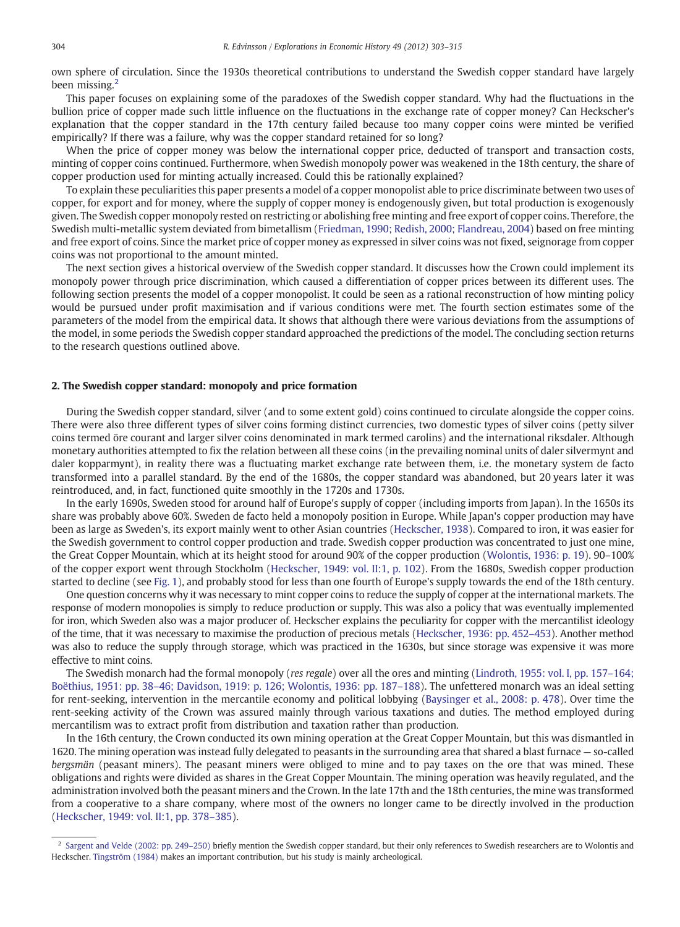own sphere of circulation. Since the 1930s theoretical contributions to understand the Swedish copper standard have largely been missing.<sup>2</sup>

This paper focuses on explaining some of the paradoxes of the Swedish copper standard. Why had the fluctuations in the bullion price of copper made such little influence on the fluctuations in the exchange rate of copper money? Can Heckscher's explanation that the copper standard in the 17th century failed because too many copper coins were minted be verified empirically? If there was a failure, why was the copper standard retained for so long?

When the price of copper money was below the international copper price, deducted of transport and transaction costs, minting of copper coins continued. Furthermore, when Swedish monopoly power was weakened in the 18th century, the share of copper production used for minting actually increased. Could this be rationally explained?

To explain these peculiarities this paper presents a model of a copper monopolist able to price discriminate between two uses of copper, for export and for money, where the supply of copper money is endogenously given, but total production is exogenously given. The Swedish copper monopoly rested on restricting or abolishing free minting and free export of copper coins. Therefore, the Swedish multi-metallic system deviated from bimetallism ([Friedman, 1990; Redish, 2000; Flandreau, 2004](#page--1-0)) based on free minting and free export of coins. Since the market price of copper money as expressed in silver coins was not fixed, seignorage from copper coins was not proportional to the amount minted.

The next section gives a historical overview of the Swedish copper standard. It discusses how the Crown could implement its monopoly power through price discrimination, which caused a differentiation of copper prices between its different uses. The following section presents the model of a copper monopolist. It could be seen as a rational reconstruction of how minting policy would be pursued under profit maximisation and if various conditions were met. The fourth section estimates some of the parameters of the model from the empirical data. It shows that although there were various deviations from the assumptions of the model, in some periods the Swedish copper standard approached the predictions of the model. The concluding section returns to the research questions outlined above.

### 2. The Swedish copper standard: monopoly and price formation

During the Swedish copper standard, silver (and to some extent gold) coins continued to circulate alongside the copper coins. There were also three different types of silver coins forming distinct currencies, two domestic types of silver coins (petty silver coins termed öre courant and larger silver coins denominated in mark termed carolins) and the international riksdaler. Although monetary authorities attempted to fix the relation between all these coins (in the prevailing nominal units of daler silvermynt and daler kopparmynt), in reality there was a fluctuating market exchange rate between them, i.e. the monetary system de facto transformed into a parallel standard. By the end of the 1680s, the copper standard was abandoned, but 20 years later it was reintroduced, and, in fact, functioned quite smoothly in the 1720s and 1730s.

In the early 1690s, Sweden stood for around half of Europe's supply of copper (including imports from Japan). In the 1650s its share was probably above 60%. Sweden de facto held a monopoly position in Europe. While Japan's copper production may have been as large as Sweden's, its export mainly went to other Asian countries [\(Heckscher, 1938](#page--1-0)). Compared to iron, it was easier for the Swedish government to control copper production and trade. Swedish copper production was concentrated to just one mine, the Great Copper Mountain, which at its height stood for around 90% of the copper production ([Wolontis, 1936: p. 19\)](#page--1-0). 90–100% of the copper export went through Stockholm ([Heckscher, 1949: vol. II:1, p. 102\)](#page--1-0). From the 1680s, Swedish copper production started to decline (see [Fig. 1](#page--1-0)), and probably stood for less than one fourth of Europe's supply towards the end of the 18th century.

One question concerns why it was necessary to mint copper coins to reduce the supply of copper at the international markets. The response of modern monopolies is simply to reduce production or supply. This was also a policy that was eventually implemented for iron, which Sweden also was a major producer of. Heckscher explains the peculiarity for copper with the mercantilist ideology of the time, that it was necessary to maximise the production of precious metals [\(Heckscher, 1936: pp. 452](#page--1-0)–453). Another method was also to reduce the supply through storage, which was practiced in the 1630s, but since storage was expensive it was more effective to mint coins.

The Swedish monarch had the formal monopoly (res regale) over all the ores and minting ([Lindroth, 1955: vol. I, pp. 157](#page--1-0)–164; Boëthius, 1951: pp. 38–[46; Davidson, 1919: p. 126; Wolontis, 1936: pp. 187](#page--1-0)–188). The unfettered monarch was an ideal setting for rent-seeking, intervention in the mercantile economy and political lobbying ([Baysinger et al., 2008: p. 478](#page--1-0)). Over time the rent-seeking activity of the Crown was assured mainly through various taxations and duties. The method employed during mercantilism was to extract profit from distribution and taxation rather than production.

In the 16th century, the Crown conducted its own mining operation at the Great Copper Mountain, but this was dismantled in 1620. The mining operation was instead fully delegated to peasants in the surrounding area that shared a blast furnace — so-called bergsmän (peasant miners). The peasant miners were obliged to mine and to pay taxes on the ore that was mined. These obligations and rights were divided as shares in the Great Copper Mountain. The mining operation was heavily regulated, and the administration involved both the peasant miners and the Crown. In the late 17th and the 18th centuries, the mine was transformed from a cooperative to a share company, where most of the owners no longer came to be directly involved in the production ([Heckscher, 1949: vol. II:1, pp. 378](#page--1-0)–385).

 $^2$  [Sargent and Velde \(2002: pp. 249](#page--1-0)-250) briefly mention the Swedish copper standard, but their only references to Swedish researchers are to Wolontis and Heckscher. [Tingström \(1984\)](#page--1-0) makes an important contribution, but his study is mainly archeological.